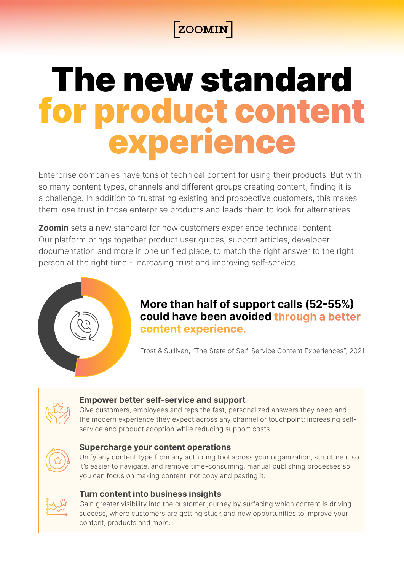# **ZOOMIN**

# The new standard for product content experience

Enterprise companies have tons of technical content for using their products. But with so many content types, channels and different groups creating content, finding it is a challenge. In addition to frustrating existing and prospective customers, this makes them lose trust in those enterprise products and leads them to look for alternatives.

**Zoomin** sets a new standard for how customers experience technical content. Our platform brings together product user guides, support articles, developer documentation and more in one unified place, to match the right answer to the right person at the right time - increasing trust and improving self-service.



## **More than half of support calls (52-55%) could have been avoided through a better** content experience.

Frost & Sullivan, "The State of Self-Service Content Experiences", 2021



#### **Empower better self-service and support**

Give customers, employees and reps the fast, personalized answers they need and the modern experience they expect across any channel or touchpoint; increasing self-<br>service and product adoption while reducing support costs.



#### **Supercharge your content operations**

Unify any content type from any authoring tool across your organization, structure it so it's easier to navigate, and remove time-consuming, manual publishing processes so you can focus on making content, not copy and pasting it.



#### **Turn content into business insights**

Gain greater visibility into the customer journey by surfacing which content is driving success, where customers are getting stuck and new opportunities to improve your content, products and more.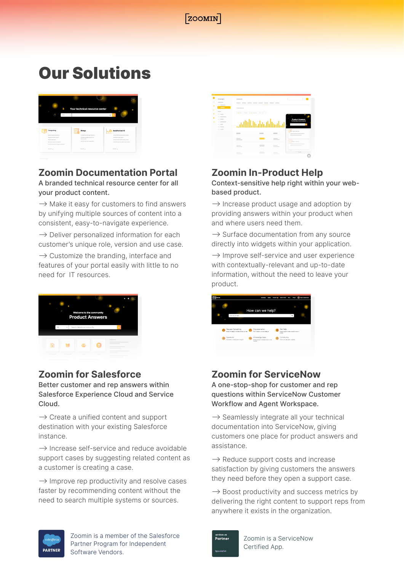

# **Our Solutions**

|                                                       |      |                                          | Legin                                                            |
|-------------------------------------------------------|------|------------------------------------------|------------------------------------------------------------------|
|                                                       |      | Your technical resource center           | ٠                                                                |
| Ó                                                     | Film | $\sim$                                   | $\circ$<br>ö                                                     |
|                                                       |      |                                          |                                                                  |
| Computing                                             |      | Storage                                  | Analytics and Al                                                 |
| <b>Maria Superpressions</b>                           |      | Clederline Storage Systems               | Unitar XC ALand Analytics Suite                                  |
| Sloughod Interconnect                                 |      | Data/Naro/hoofsations1/D                 | ACME Crash Engine                                                |
| <b>Shout a Software</b><br>XC for ins Supercomputers. |      | Assetsvator<br>ACME Viewfor Challer Stor | Units Cliff and Anahelics Suite<br>AdManagement Suite User Quide |
| Clifories Chaire Superstanding                        |      |                                          |                                                                  |

## **Zoomin Documentation Portal**

A branded technical resource center for all vour product content.

 $\rightarrow$  Make it easy for customers to find answers by unifying multiple sources of content into a consistent, easy-to-navigate experience.

 $\rightarrow$  Deliver personalized information for each customer's unique role, version and use case.

 $\rightarrow$  Customize the branding, interface and features of your portal easily with little to no need for IT resources



#### **Zoomin for Salesforce**

Better customer and rep answers within Salesforce Experience Cloud and Service Cloud.

 $\rightarrow$  Create a unified content and support destination with your existing Salesforce .instance

 $\rightarrow$  Increase self-service and reduce avoidable support cases by suggesting related content as a customer is creating a case.

 $\rightarrow$  Improve rep productivity and resolve cases faster by recommending content without the need to search multiple systems or sources.



## **Zoomin In-Product Help**

Context-sensitive help right within your web-<br>based product.

 $\rightarrow$  Increase product usage and adoption by providing answers within your product when and where users need them.

 $\rightarrow$  Surface documentation from any source directly into widgets within your application.

 $\rightarrow$  Improve self-service and user experience with contextually-relevant and up-to-date information, without the need to leave your product.



#### **Zoomin for ServiceNow**

A one-stop-shop for customer and rep questions within ServiceNow Customer Workflow and Agent Workspace.

 $\rightarrow$  Seamlessly integrate all your technical documentation into ServiceNow, giving customers one place for product answers and .assistance

 $\rightarrow$  Reduce support costs and increase satisfaction by giving customers the answers they need before they open a support case.

 $\rightarrow$  Boost productivity and success metrics by delivering the right content to support reps from anywhere it exists in the organization.



Zoomin is a member of the Salesforce Partner Program for Independent Software Vendors.



Zoomin is a ServiceNow Certified App.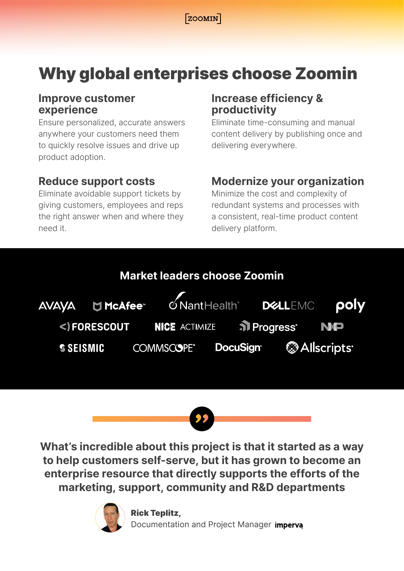$[ZOOMIN]$ 

# Why global enterprises choose Zoomin

#### **Improve customer experience**

Ensure personalized, accurate answers anywhere your customers need them to quickly resolve issues and drive up product adoption.

## **Reduce support costs**

Eliminate avoidable support tickets by giving customers, employees and reps the right answer when and where they need it.

## **Increase efficiency & productivity**

Eliminate time-consuming and manual content delivery by publishing once and delivering everywhere.

## **Modernize your organization**

Minimize the cost and complexity of redundant systems and processes with a consistent, real-time product content delivery platform.



**What's incredible about this project is that it started as a way** to help customers self-serve, but it has grown to become an enterprise resource that directly supports the efforts of the marketing, support, community and R&D departments



**Rick Teplitz,** Documentation and Project Manager imperva